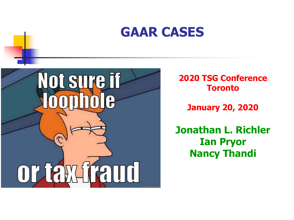### **GAAR CASES**



**2020 TSG Conference Toronto**

**January 20, 2020**

**Jonathan L. Richler Ian Pryor Nancy Thandi**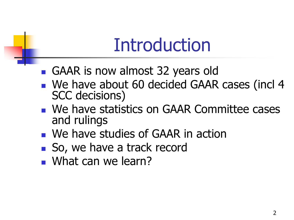# Introduction

- GAAR is now almost 32 years old
- We have about 60 decided GAAR cases (incl 4 SCC decisions)
- **Ne have statistics on GAAR Committee cases** and rulings
- We have studies of GAAR in action
- So, we have a track record
- What can we learn?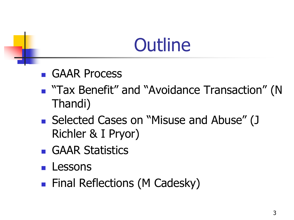# **Outline**

- **GAAR Process**
- **Tax Benefit" and "Avoidance Transaction" (N** Thandi)
- Selected Cases on "Misuse and Abuse" (J Richler & I Pryor)
- **GAAR Statistics**
- **Lessons**
- **Final Reflections (M Cadesky)**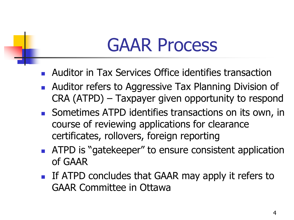## GAAR Process

- Auditor in Tax Services Office identifies transaction
- **Auditor refers to Aggressive Tax Planning Division of** CRA (ATPD) – Taxpayer given opportunity to respond
- Sometimes ATPD identifies transactions on its own, in course of reviewing applications for clearance certificates, rollovers, foreign reporting
- **ATPD** is "gatekeeper" to ensure consistent application of GAAR
- If ATPD concludes that GAAR may apply it refers to GAAR Committee in Ottawa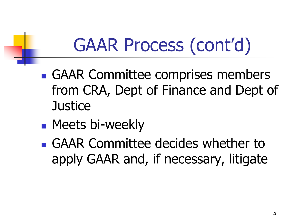# GAAR Process (cont'd)

- GAAR Committee comprises members from CRA, Dept of Finance and Dept of **Justice**
- **Meets bi-weekly**
- GAAR Committee decides whether to apply GAAR and, if necessary, litigate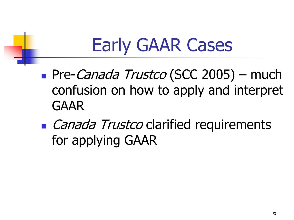# Early GAAR Cases

- Pre-Canada Trustco (SCC 2005) much confusion on how to apply and interpret GAAR
- **Canada Trustco clarified requirements** for applying GAAR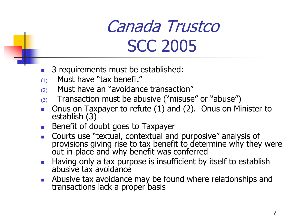### Canada Trustco SCC 2005

- 3 requirements must be established:
- $(1)$  Must have "tax benefit"
- (2) Must have an "avoidance transaction"
- $(3)$  Transaction must be abusive ("misuse" or "abuse")
- Onus on Taxpayer to refute (1) and (2). Onus on Minister to establish (3)
- **Benefit of doubt goes to Taxpayer**
- **Courts use "textual, contextual and purposive" analysis of** provisions giving rise to tax benefit to determine why they were out in place and why benefit was conferred
- **Having only a tax purpose is insufficient by itself to establish** abusive tax avoidance
- **Abusive tax avoidance may be found where relationships and** transactions lack a proper basis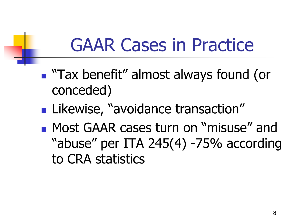## GAAR Cases in Practice

- "Tax benefit" almost always found (or conceded)
- **Likewise, "avoidance transaction"**
- **Most GAAR cases turn on "misuse" and I** "abuse" per ITA 245(4) -75% according to CRA statistics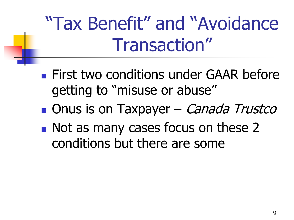"Tax Benefit" and "Avoidance Transaction"

- **First two conditions under GAAR before** getting to "misuse or abuse"
- **Onus is on Taxpayer** *Canada Trustco*
- Not as many cases focus on these 2 conditions but there are some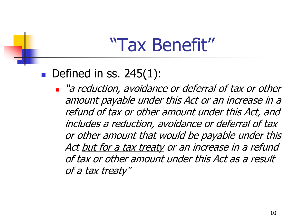### "Tax Benefit"

### Defined in ss.  $245(1)$ :

 $\blacksquare$  "a reduction, avoidance or deferral of tax or other amount payable under this Act or an increase in a refund of tax or other amount under this Act, and includes a reduction, avoidance or deferral of tax or other amount that would be payable under this Act but for a tax treaty or an increase in a refund of tax or other amount under this Act as a result of a tax treaty"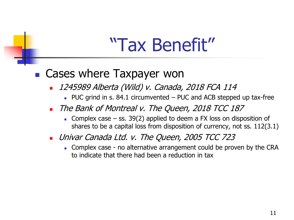### "Tax Benefit"

### ■ Cases where Taxpayer won

- 1245989 Alberta (Wild) v. Canada, 2018 FCA 114
	- $\blacksquare$  PUC grind in s. 84.1 circumvented PUC and ACB stepped up tax-free
- The Bank of Montreal v. The Queen, 2018 TCC 187
	- Complex case ss. 39(2) applied to deem a FX loss on disposition of shares to be a capital loss from disposition of currency, not ss. 112(3.1)
- **Univar Canada Ltd. v. The Queen, 2005 TCC 723** 
	- Complex case no alternative arrangement could be proven by the CRA to indicate that there had been a reduction in tax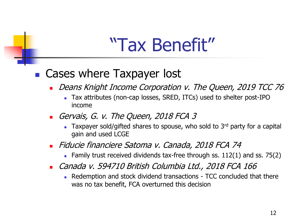### "Tax Benefit"

### ■ Cases where Taxpayer lost

- Deans Knight Income Corporation v. The Queen, 2019 TCC 76
	- Tax attributes (non-cap losses, SRED, ITCs) used to shelter post-IPO income
- Gervais, G. v. The Queen, 2018 FCA 3
	- **Taxpayer sold/gifted shares to spouse, who sold to 3<sup>rd</sup> party for a capital** gain and used LCGE
- Fiducie financiere Satoma v. Canada, 2018 FCA 74
	- Family trust received dividends tax-free through ss. 112(1) and ss. 75(2)
- Canada v. 594710 British Columbia Ltd., 2018 FCA 166
	- Redemption and stock dividend transactions TCC concluded that there was no tax benefit, FCA overturned this decision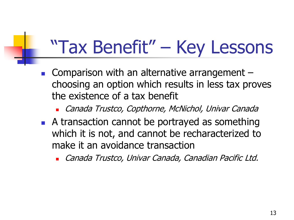# "Tax Benefit" – Key Lessons

- **Comparison with an alternative arrangement** choosing an option which results in less tax proves the existence of a tax benefit
	- Canada Trustco, Copthorne, McNichol, Univar Canada
- A transaction cannot be portrayed as something which it is not, and cannot be recharacterized to make it an avoidance transaction
	- Canada Trustco, Univar Canada, Canadian Pacific Ltd.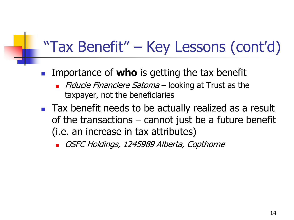### "Tax Benefit" – Key Lessons (cont'd)

- Importance of **who** is getting the tax benefit
	- Fiducie Financiere Satoma looking at Trust as the taxpayer, not the beneficiaries
- **Tax benefit needs to be actually realized as a result** of the transactions – cannot just be a future benefit (i.e. an increase in tax attributes)

OSFC Holdings, 1245989 Alberta, Copthorne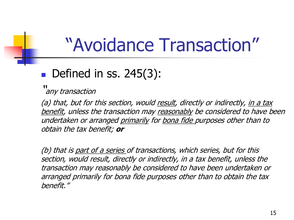## "Avoidance Transaction"

### $\blacksquare$  Defined in ss. 245(3):

''

any transaction

(a) that, but for this section, would result, directly or indirectly, in a tax benefit, unless the transaction may reasonably be considered to have been undertaken or arranged primarily for bona fide purposes other than to obtain the tax benefit; **or**

(b) that is part of a series of transactions, which series, but for this section, would result, directly or indirectly, in a tax benefit, unless the transaction may reasonably be considered to have been undertaken or arranged primarily for bona fide purposes other than to obtain the tax benefit."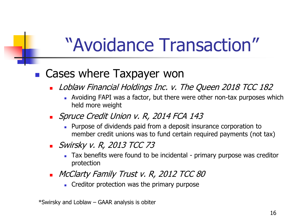# "Avoidance Transaction"

### ■ Cases where Taxpayer won

- Loblaw Financial Holdings Inc. v. The Queen 2018 TCC 182
	- Avoiding FAPI was a factor, but there were other non-tax purposes which held more weight
- **Spruce Credit Union v. R, 2014 FCA 143** 
	- **Purpose of dividends paid from a deposit insurance corporation to** member credit unions was to fund certain required payments (not tax)
- **Swirsky v. R, 2013 TCC 73** 
	- Tax benefits were found to be incidental primary purpose was creditor protection
- **NCClarty Family Trust v. R, 2012 TCC 80** 
	- **Creditor protection was the primary purpose**

\*Swirsky and Loblaw – GAAR analysis is obiter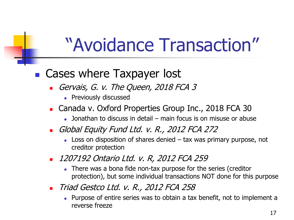# "Avoidance Transaction"

### ■ Cases where Taxpayer lost

- Gervais, G. v. The Queen, 2018 FCA 3
	- **Previously discussed**
- Canada v. Oxford Properties Group Inc., 2018 FCA 30
	- **Jonathan to discuss in detail main focus is on misuse or abuse**
- Global Equity Fund Ltd. v. R., 2012 FCA 272
	- $\blacksquare$  Loss on disposition of shares denied  $-$  tax was primary purpose, not creditor protection
- 1207192 Ontario Ltd. v. R, 2012 FCA 259
	- There was a bona fide non-tax purpose for the series (creditor protection), but some individual transactions NOT done for this purpose
- Triad Gestco Ltd. v. R., 2012 FCA 258
	- **Purpose of entire series was to obtain a tax benefit, not to implement a** reverse freeze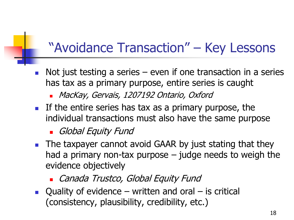### "Avoidance Transaction" – Key Lessons

- Not just testing a series even if one transaction in a series has tax as a primary purpose, entire series is caught
	- MacKay, Gervais, 1207192 Ontario, Oxford
- If the entire series has tax as a primary purpose, the individual transactions must also have the same purpose

### Global Equity Fund

- **The taxpayer cannot avoid GAAR by just stating that they** had a primary non-tax purpose – judge needs to weigh the evidence objectively
	- **Canada Trustco, Global Equity Fund**
- Quality of evidence written and oral is critical (consistency, plausibility, credibility, etc.)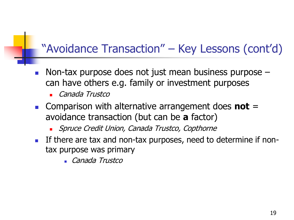### "Avoidance Transaction" – Key Lessons (cont'd)

- Non-tax purpose does not just mean business purpose can have others e.g. family or investment purposes
	- Canada Trustco
- Comparison with alternative arrangement does **not** = avoidance transaction (but can be **a** factor)
	- **Spruce Credit Union, Canada Trustco, Copthorne**
- If there are tax and non-tax purposes, need to determine if nontax purpose was primary
	- Canada Trustco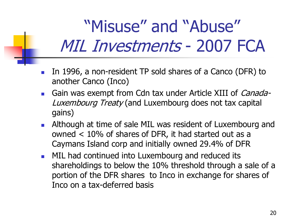### "Misuse" and "Abuse" MIL Investments - 2007 FCA

- In 1996, a non-resident TP sold shares of a Canco (DFR) to another Canco (Inco)
- Gain was exempt from Cdn tax under Article XIII of *Canada-*Luxembourg Treaty (and Luxembourg does not tax capital gains)
- **Although at time of sale MIL was resident of Luxembourg and** owned < 10% of shares of DFR, it had started out as a Caymans Island corp and initially owned 29.4% of DFR
- **MIL had continued into Luxembourg and reduced its** shareholdings to below the 10% threshold through a sale of a portion of the DFR shares to Inco in exchange for shares of Inco on a tax-deferred basis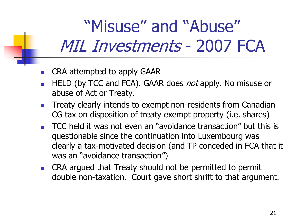### "Misuse" and "Abuse" MIL Investments - 2007 FCA

- **EXAMPLE CRA attempted to apply GAAR**
- HELD (by TCC and FCA). GAAR does *not* apply. No misuse or abuse of Act or Treaty.
- **Treaty clearly intends to exempt non-residents from Canadian** CG tax on disposition of treaty exempt property (i.e. shares)
- TCC held it was not even an "avoidance transaction" but this is questionable since the continuation into Luxembourg was clearly a tax-motivated decision (and TP conceded in FCA that it was an "avoidance transaction")
- **EXA** CRA argued that Treaty should not be permitted to permit double non-taxation. Court gave short shrift to that argument.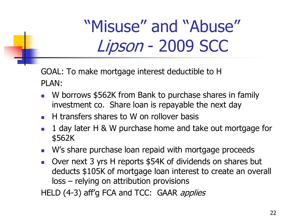"Misuse" and "Abuse" Lipson - 2009 SCC

GOAL: To make mortgage interest deductible to H PLAN:

- W borrows \$562K from Bank to purchase shares in family investment co. Share loan is repayable the next day
- $\blacksquare$  H transfers shares to W on rollover basis
- 1 day later H & W purchase home and take out mortgage for \$562K
- **W's share purchase loan repaid with mortgage proceeds**
- Over next 3 yrs H reports \$54K of dividends on shares but deducts \$105K of mortgage loan interest to create an overall loss – relying on attribution provisions

HELD (4-3) aff'g FCA and TCC: GAAR applies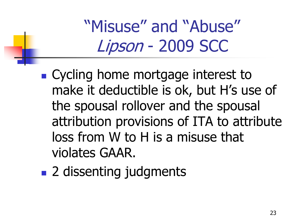"Misuse" and "Abuse" Lipson - 2009 SCC

- Cycling home mortgage interest to make it deductible is ok, but H's use of the spousal rollover and the spousal attribution provisions of ITA to attribute loss from W to H is a misuse that violates GAAR.
- 2 dissenting judgments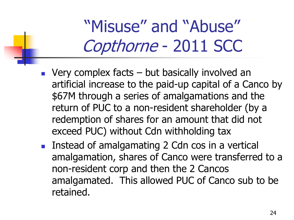### "Misuse" and "Abuse" Copthorne - 2011 SCC

- $\blacksquare$  Very complex facts but basically involved an artificial increase to the paid-up capital of a Canco by \$67M through a series of amalgamations and the return of PUC to a non-resident shareholder (by a redemption of shares for an amount that did not exceed PUC) without Cdn withholding tax
- **Instead of amalgamating 2 Cdn cos in a vertical** amalgamation, shares of Canco were transferred to a non-resident corp and then the 2 Cancos amalgamated. This allowed PUC of Canco sub to be retained.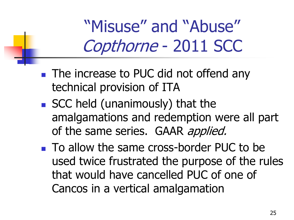"Misuse" and "Abuse" Copthorne - 2011 SCC

- **The increase to PUC did not offend any** technical provision of ITA
- SCC held (unanimously) that the amalgamations and redemption were all part of the same series. GAAR applied.
- To allow the same cross-border PUC to be used twice frustrated the purpose of the rules that would have cancelled PUC of one of Cancos in a vertical amalgamation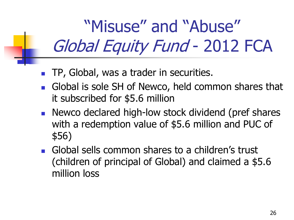"Misuse" and "Abuse" Global Equity Fund - 2012 FCA

- TP, Global, was a trader in securities.
- Global is sole SH of Newco, held common shares that it subscribed for \$5.6 million
- Newco declared high-low stock dividend (pref shares with a redemption value of \$5.6 million and PUC of \$56)
- **Global sells common shares to a children's trust** (children of principal of Global) and claimed a \$5.6 million loss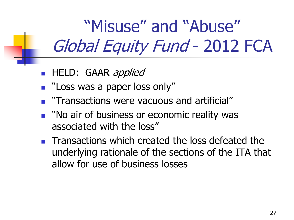"Misuse" and "Abuse" Global Equity Fund - 2012 FCA

- **HELD:** GAAR applied
- **E** "Loss was a paper loss only"
- **The automations were vacuous and artificial**"
- **No air of business or economic reality was** associated with the loss"
- **Transactions which created the loss defeated the** underlying rationale of the sections of the ITA that allow for use of business losses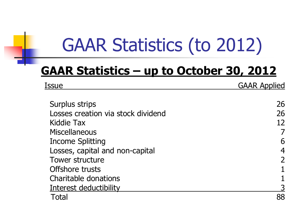# GAAR Statistics (to 2012)

### **GAAR Statistics – up to October 30, 2012**

| Issue                              | <b>GAAR Applied</b> |  |
|------------------------------------|---------------------|--|
| Surplus strips                     | 26                  |  |
| Losses creation via stock dividend | 26                  |  |
| Kiddie Tax                         | 12                  |  |
| <b>Miscellaneous</b>               |                     |  |
| <b>Income Splitting</b>            | 6                   |  |
| Losses, capital and non-capital    | 4                   |  |
| <b>Tower structure</b>             |                     |  |
| Offshore trusts                    |                     |  |
| Charitable donations               |                     |  |
| Interest deductibility             |                     |  |
| Total                              | 88                  |  |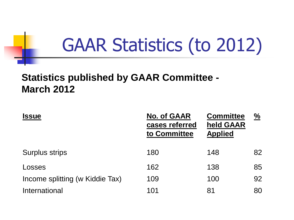# GAAR Statistics (to 2012)

### **Statistics published by GAAR Committee - March 2012**

| <b>Issue</b>                    | <b>No. of GAAR</b><br>cases referred<br>to Committee | <b>Committee</b><br>held GAAR<br><b>Applied</b> | $\frac{0}{2}$ |
|---------------------------------|------------------------------------------------------|-------------------------------------------------|---------------|
| <b>Surplus strips</b>           | 180                                                  | 148                                             | 82            |
| Losses                          | 162                                                  | 138                                             | 85            |
| Income splitting (w Kiddie Tax) | 109                                                  | 100                                             | 92            |
| International                   | 101                                                  | 81                                              | 80            |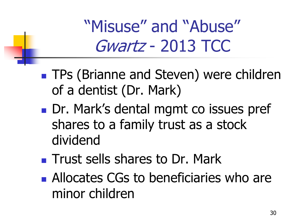"Misuse" and "Abuse" Gwartz - 2013 TCC

- **TPs (Brianne and Steven) were children** of a dentist (Dr. Mark)
- Dr. Mark's dental mgmt co issues pref shares to a family trust as a stock dividend
- **Trust sells shares to Dr. Mark**
- **Allocates CGs to beneficiaries who are** minor children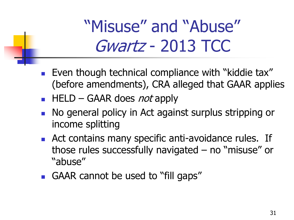### "Misuse" and "Abuse" Gwartz - 2013 TCC

- **Even though technical compliance with "kiddie tax"** (before amendments), CRA alleged that GAAR applies
- $\blacksquare$  HELD GAAR does *not* apply
- No general policy in Act against surplus stripping or income splitting
- **Act contains many specific anti-avoidance rules. If** those rules successfully navigated – no "misuse" or "abuse"
- GAAR cannot be used to "fill gaps"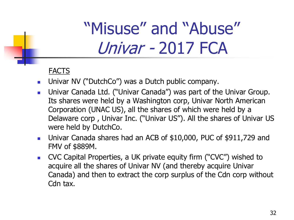#### FACTS

- **Univar NV ("DutchCo") was a Dutch public company.**
- **DED** Univar Canada Ltd. ("Univar Canada") was part of the Univar Group. Its shares were held by a Washington corp, Univar North American Corporation (UNAC US), all the shares of which were held by a Delaware corp , Univar Inc. ("Univar US"). All the shares of Univar US were held by DutchCo.
- Univar Canada shares had an ACB of \$10,000, PUC of \$911,729 and FMV of \$889M.
- CVC Capital Properties, a UK private equity firm ("CVC") wished to acquire all the shares of Univar NV (and thereby acquire Univar Canada) and then to extract the corp surplus of the Cdn corp without Cdn tax.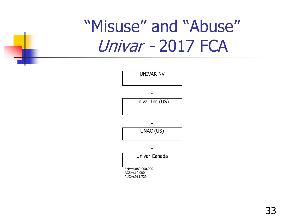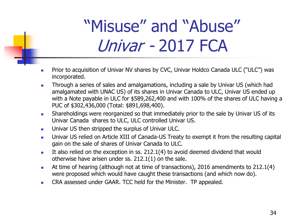- **Prior to acquisition of Univar NV shares by CVC, Univar Holdco Canada ULC ("ULC") was** incorporated.
- **Through a series of sales and amalgamations, including a sale by Univar US (which had** amalgamated with UNAC US) of its shares in Univar Canada to ULC, Univar US ended up with a Note payable in ULC for \$589,262,400 and with 100% of the shares of ULC having a PUC of \$302,436,000 (Total: \$891,698,400).
- **Shareholdings were reorganized so that immediately prior to the sale by Univar US of its** Univar Canada shares to ULC, ULC controlled Univar US.
- **Univar US then stripped the surplus of Univar ULC.**
- **Univar US relied on Article XIII of Canada-US Treaty to exempt it from the resulting capital** gain on the sale of shares of Univar Canada to ULC.
- It also relied on the exception in ss.  $212.1(4)$  to avoid deemed dividend that would otherwise have arisen under ss. 212.1(1) on the sale.
- At time of hearing (although not at time of transactions), 2016 amendments to 212.1(4) were proposed which would have caught these transactions (and which now do).
- CRA assessed under GAAR. TCC held for the Minister. TP appealed.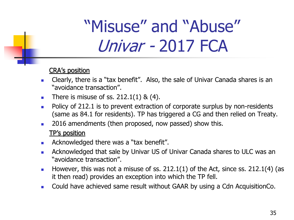#### CRA's position

- **Clearly, there is a "tax benefit".** Also, the sale of Univar Canada shares is an "avoidance transaction".
- There is misuse of ss.  $212.1(1)$  &  $(4)$ .
- Policy of 212.1 is to prevent extraction of corporate surplus by non-residents (same as 84.1 for residents). TP has triggered a CG and then relied on Treaty.
- 2016 amendments (then proposed, now passed) show this.

#### TP's position

- **Acknowledged there was a "tax benefit".**
- **Acknowledged that sale by Univar US of Univar Canada shares to ULC was an** "avoidance transaction".
- However, this was not a misuse of ss.  $212.1(1)$  of the Act, since ss.  $212.1(4)$  (as it then read) provides an exception into which the TP fell.
- **Could have achieved same result without GAAR by using a Cdn AcquisitionCo.**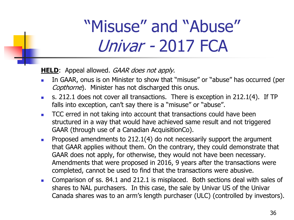**HELD**: Appeal allowed. *GAAR does not apply*.

- In GAAR, onus is on Minister to show that "misuse" or "abuse" has occurred (per Copthorne). Minister has not discharged this onus.
- s. 212.1 does not cover all transactions. There is exception in  $212.1(4)$ . If TP falls into exception, can't say there is a "misuse" or "abuse".
- **TCC** erred in not taking into account that transactions could have been structured in a way that would have achieved same result and not triggered GAAR (through use of a Canadian AcquisitionCo).
- **Proposed amendments to 212.1(4) do not necessarily support the argument** that GAAR applies without them. On the contrary, they could demonstrate that GAAR does not apply, for otherwise, they would not have been necessary. Amendments that were proposed in 2016, 9 years after the transactions were completed, cannot be used to find that the transactions were abusive.
- **Comparison of ss. 84.1 and 212.1 is misplaced. Both sections deal with sales of** shares to NAL purchasers. In this case, the sale by Univar US of the Univar Canada shares was to an arm's length purchaser (ULC) (controlled by investors).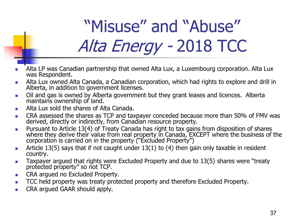# "Misuse" and "Abuse" Alta Energy - 2018 TCC

- Alta LP was Canadian partnership that owned Alta Lux, a Luxembourg corporation. Alta Lux was Respondent.
- Alta Lux owned Alta Canada, a Canadian corporation, which had rights to explore and drill in Alberta, in addition to government licenses.
- **Di** oil and gas is owned by Alberta government but they grant leases and licences. Alberta maintains ownership of land.
- **Alta Lux sold the shares of Alta Canada.**
- **EXA** assessed the shares as TCP and taxpayer conceded because more than 50% of FMV was derived, directly or indirectly, from Canadian resource property.
- **Pursuant to Article 13(4) of Treaty Canada has right to tax gains from disposition of shares** where they derive their value from real property in Canada, EXCEPT where the business of the corporation is carried on in the property ("Excluded Property")
- Article 13(5) says that if not caught under  $13(1)$  to (4) then gain only taxable in resident country.
- **Taxpayer argued that rights were Excluded Property and due to 13(5) shares were "treaty** protected property" so not TCP.
- **CRA argued no Excluded Property.**
- TCC held property was treaty protected property and therefore Excluded Property.
- **CRA argued GAAR should apply.**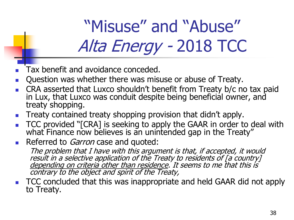# "Misuse" and "Abuse" Alta Energy - 2018 TCC

- Tax benefit and avoidance conceded.
- Question was whether there was misuse or abuse of Treaty.
- CRA asserted that Luxco shouldn't benefit from Treaty b/c no tax paid in Lux, that Luxco was conduit despite being beneficial owner, and treaty shopping.
- Treaty contained treaty shopping provision that didn't apply.
- TCC provided "[CRA] is seeking to apply the GAAR in order to deal with what Finance now believes is an unintended gap in the Treaty"
- Referred to *Garron* case and quoted:

The problem that I have with this argument is that, if accepted, it would result in a selective application of the Treaty to residents of [a country] depending on criteria other than residence. It seems to me that this is contrary to the object and spirit of the Treaty,

 TCC concluded that this was inappropriate and held GAAR did not apply to Treaty.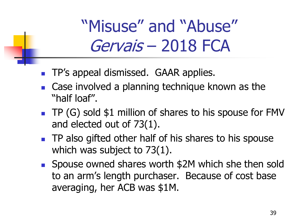### "Misuse" and "Abuse" Gervais – 2018 FCA

- **TP's appeal dismissed. GAAR applies.**
- Case involved a planning technique known as the "half loaf".
- $\blacksquare$  TP (G) sold \$1 million of shares to his spouse for FMV and elected out of 73(1).
- **TP also gifted other half of his shares to his spouse** which was subject to 73(1).
- Spouse owned shares worth \$2M which she then sold to an arm's length purchaser. Because of cost base averaging, her ACB was \$1M.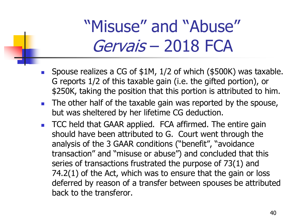### "Misuse" and "Abuse" Gervais – 2018 FCA

- Spouse realizes a CG of \$1M, 1/2 of which (\$500K) was taxable. G reports 1/2 of this taxable gain (i.e. the gifted portion), or \$250K, taking the position that this portion is attributed to him.
- The other half of the taxable gain was reported by the spouse, but was sheltered by her lifetime CG deduction.
- **TCC held that GAAR applied. FCA affirmed. The entire gain** should have been attributed to G. Court went through the analysis of the 3 GAAR conditions ("benefit", "avoidance transaction" and "misuse or abuse") and concluded that this series of transactions frustrated the purpose of 73(1) and 74.2(1) of the Act, which was to ensure that the gain or loss deferred by reason of a transfer between spouses be attributed back to the transferor.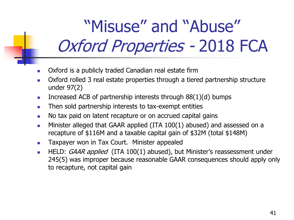### "Misuse" and "Abuse" Oxford Properties - 2018 FCA

- Oxford is a publicly traded Canadian real estate firm
- **D** Oxford rolled 3 real estate properties through a tiered partnership structure under 97(2)
- Increased ACB of partnership interests through  $88(1)(d)$  bumps
- Then sold partnership interests to tax-exempt entities
- No tax paid on latent recapture or on accrued capital gains
- **Minister alleged that GAAR applied (ITA 100(1) abused) and assessed on a** recapture of \$116M and a taxable capital gain of \$32M (total \$148M)
- **Taxpayer won in Tax Court. Minister appealed**
- HELD: GAAR applied (ITA 100(1) abused), but Minister's reassessment under 245(5) was improper because reasonable GAAR consequences should apply only to recapture, not capital gain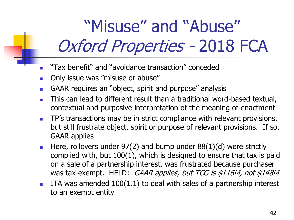## "Misuse" and "Abuse" Oxford Properties - 2018 FCA

- "Tax benefit" and "avoidance transaction" conceded
- **Diam** Only issue was "misuse or abuse"
- GAAR requires an "object, spirit and purpose" analysis
- **This can lead to different result than a traditional word-based textual,** contextual and purposive interpretation of the meaning of enactment
- **TP's transactions may be in strict compliance with relevant provisions,** but still frustrate object, spirit or purpose of relevant provisions. If so, GAAR applies
- Here, rollovers under  $97(2)$  and bump under  $88(1)(d)$  were strictly complied with, but 100(1), which is designed to ensure that tax is paid on a sale of a partnership interest, was frustrated because purchaser was tax-exempt. HELD: GAAR applies, but TCG is \$116M, not \$148M
- **ITA** was amended  $100(1.1)$  to deal with sales of a partnership interest to an exempt entity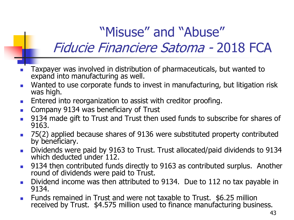### "Misuse" and "Abuse" Fiducie Financiere Satoma - 2018 FCA

- Taxpayer was involved in distribution of pharmaceuticals, but wanted to expand into manufacturing as well.
- **Number 1** Wanted to use corporate funds to invest in manufacturing, but litigation risk was high.
- **Entered into reorganization to assist with creditor proofing.**
- **Company 9134 was beneficiary of Trust**
- 9134 made gift to Trust and Trust then used funds to subscribe for shares of 9163.
- 75(2) applied because shares of 9136 were substituted property contributed by beneficiary.
- Dividends were paid by 9163 to Trust. Trust allocated/paid dividends to 9134 which deducted under 112.
- **9134 then contributed funds directly to 9163 as contributed surplus. Another** round of dividends were paid to Trust.
- Dividend income was then attributed to 9134. Due to 112 no tax payable in 9134.
- Funds remained in Trust and were not taxable to Trust. \$6.25 million received by Trust. \$4.575 million used to finance manufacturing business.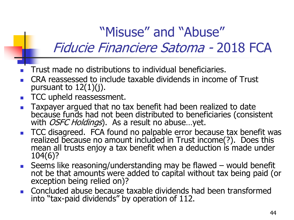### "Misuse" and "Abuse"

### Fiducie Financiere Satoma - 2018 FCA

- Trust made no distributions to individual beneficiaries.
- CRA reassessed to include taxable dividends in income of Trust pursuant to  $12(1)(i)$ .
- **TCC upheld reassessment.**
- **Taxpayer argued that no tax benefit had been realized to date** because funds had not been distributed to beneficiaries (consistent with OSFC Holdings). As a result no abuse...yet.
- TCC disagreed. FCA found no palpable error because tax benefit was realized because no amount included in Trust income(?). Does this mean all trusts enjoy a tax benefit when a deduction is made under 104(6)?
- Seems like reasoning/understanding may be flawed would benefit not be that amounts were added to capital without tax being paid (or exception being relied on)?
- Concluded abuse because taxable dividends had been transformed into "tax-paid dividends" by operation of 112.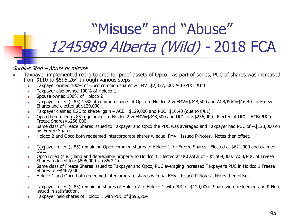### "Misuse" and "Abuse" 1245989 Alberta (Wild) - 2018 FCA

Surplus Strip – Abuse or misuse

- Taxpayer implemented reorg to creditor proof assets of Opco. As part of series, PUC of shares was increased from \$110 to \$595,264 through various steps:
	- Taxpayer owned 100% of Opco common shares w FMV=\$2,337,500; ACB/PUC=\$110
	- Taxpayer also owned 100% of Holdco 1
	- Spouse owned 100% of Holdco 2
	- Taxpayer rolled (s.85) 15% of common shares of Opco to Holdco 2 w FMV=\$348,500 and ACB/PUC=\$16.40 for Freeze Shares and elected at \$129,000
	- Taxpayer claimed CGE to shelter gain ACB = \$129,000 and PUC= \$16.40 (due to 84.1)
	- Opco then rolled (s.85) equipment to Holdco 2 w FMV=\$348,500 and UCC of ~\$256,000. Elected at UCC. ACB/PUC of Freeze Shares=\$256,000
	- Same class of Freeze Shares issued to Taxpayer and Opco the PUC was averaged and Taxpayer had PUC of  $\sim$ \$128,000 on his Freeze Shares
	- Holdco 2 and Opco both redeemed intercorporate shares w equal FMV. Issued P-Notes. Notes then offset.
	- Taxpayer rolled (s.85) remaining Opco common shares to Holdco 1 for Freeze Shares. Elected at \$621,000 and claimed CGE.
	- Opco rolled (s.85) land and depreciable property to Holdco 1. Elected at UCC/ACB of ~\$1,509,000. ACB/PUC of Freeze Shares reduced to  $\sim$  \$896,000 via 85(2.1).
	- Same class of Freeze Shares issued to Taxpayer and Opco, PUC averaging increased Taxpayer's PUC in Holdco 1 Freeze Shares to  $\sim$  \$467,000
	- Holdco 1 and Opco both redeemed intercorporate shares w equal FMV. Issued P-Notes. Notes then offset.
	- Taxpayer rolled (s.85) remaining shares of Holdco 2 to Holdco 1 with PUC of \$129,000. Share were redeemed and P-Note issued in satisfaction.
	- Taxpayer held shares of Holdco 1 with PUC of \$595,264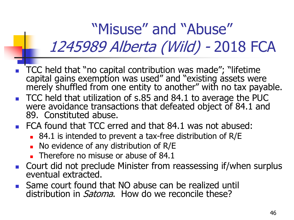### "Misuse" and "Abuse" 1245989 Alberta (Wild) - 2018 FCA

- TCC held that "no capital contribution was made"; "lifetime capital gains exemption was used" and "existing assets were merely shuffled from one entity to another" with no tax payable.
- TCC held that utilization of s.85 and 84.1 to average the PUC were avoidance transactions that defeated object of 84.1 and 89. Constituted abuse.
- FCA found that TCC erred and that 84.1 was not abused:
	- 84.1 is intended to prevent a tax-free distribution of R/E
	- No evidence of any distribution of R/E
	- $\blacksquare$  Therefore no misuse or abuse of 84.1
- Court did not preclude Minister from reassessing if/when surplus eventual extracted.
- Same court found that NO abuse can be realized until distribution in *Satoma*. How do we reconcile these?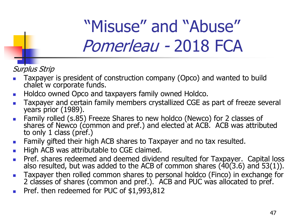### "Misuse" and "Abuse" Pomerleau - 2018 FCA

### Surplus Strip

- Taxpayer is president of construction company (Opco) and wanted to build chalet w corporate funds.
- **Holdco owned Opco and taxpayers family owned Holdco.**
- Taxpayer and certain family members crystallized CGE as part of freeze several years prior (1989).
- **Family rolled (s.85) Freeze Shares to new holdco (Newco) for 2 classes of** shares of Newco (common and pref.) and elected at ACB. ACB was attributed to only 1 class (pref.)
- **Family gifted their high ACB shares to Taxpayer and no tax resulted.**
- **High ACB was attributable to CGE claimed.**
- Pref. shares redeemed and deemed dividend resulted for Taxpayer. Capital loss also resulted, but was added to the ACB of common shares  $(40(3.6)$  and 53(1)).
- **Taxpayer then rolled common shares to personal holdco (Finco) in exchange for** 2 classes of shares (common and pref.). ACB and PUC was allocated to pref.
- Pref. then redeemed for PUC of \$1,993,812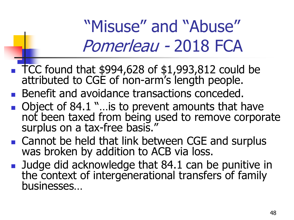### "Misuse" and "Abuse" Pomerleau - 2018 FCA

- $\blacksquare$  TCC found that \$994,628 of \$1,993,812 could be attributed to CGE of non-arm's length people.
- Benefit and avoidance transactions conceded.
- Object of 84.1 "…is to prevent amounts that have not been taxed from being used to remove corporate surplus on a tax-free basis."
- Cannot be held that link between CGE and surplus was broken by addition to ACB via loss.
- **Judge did acknowledge that 84.1 can be punitive in** the context of intergenerational transfers of family businesses…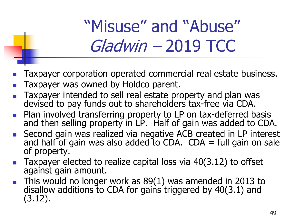## "Misuse" and "Abuse" Gladwin – 2019 TCC

- Taxpayer corporation operated commercial real estate business.
- Taxpayer was owned by Holdco parent.
- Taxpayer intended to sell real estate property and plan was devised to pay funds out to shareholders tax-free via CDA.
- **Plan involved transferring property to LP on tax-deferred basis** and then selling property in LP. Half of gain was added to CDA.
- Second gain was realized via negative ACB created in LP interest and half of gain was also added to CDA.  $CDA = full$  gain on sale of property.
- Taxpayer elected to realize capital loss via 40(3.12) to offset against gain amount.
- This would no longer work as 89(1) was amended in 2013 to disallow additions to CDA for gains triggered by 40(3.1) and (3.12).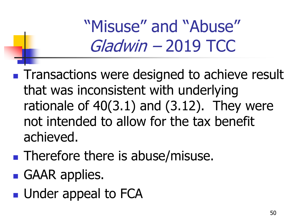"Misuse" and "Abuse" Gladwin – 2019 TCC

**Transactions were designed to achieve result** that was inconsistent with underlying rationale of  $40(3.1)$  and  $(3.12)$ . They were not intended to allow for the tax benefit achieved.

- **Therefore there is abuse/misuse.**
- **GAAR** applies.
- **Under appeal to FCA**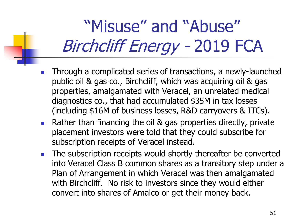## "Misuse" and "Abuse" Birchcliff Energy - 2019 FCA

- Through a complicated series of transactions, a newly-launched public oil & gas co., Birchcliff, which was acquiring oil & gas properties, amalgamated with Veracel, an unrelated medical diagnostics co., that had accumulated \$35M in tax losses (including \$16M of business losses, R&D carryovers & ITCs).
- **Rather than financing the oil & gas properties directly, private** placement investors were told that they could subscribe for subscription receipts of Veracel instead.
- The subscription receipts would shortly thereafter be converted into Veracel Class B common shares as a transitory step under a Plan of Arrangement in which Veracel was then amalgamated with Birchcliff. No risk to investors since they would either convert into shares of Amalco or get their money back.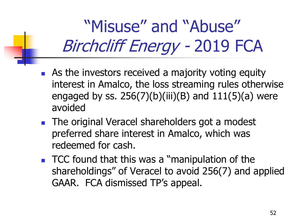"Misuse" and "Abuse" Birchcliff Energy - 2019 FCA

- **As the investors received a majority voting equity** interest in Amalco, the loss streaming rules otherwise engaged by ss.  $256(7)(b)(iii)(B)$  and  $111(5)(a)$  were avoided
- The original Veracel shareholders got a modest preferred share interest in Amalco, which was redeemed for cash.
- TCC found that this was a "manipulation of the shareholdings" of Veracel to avoid 256(7) and applied GAAR. FCA dismissed TP's appeal.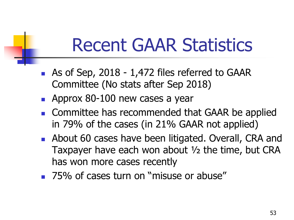### Recent GAAR Statistics

- As of Sep, 2018 1,472 files referred to GAAR Committee (No stats after Sep 2018)
- **Approx 80-100 new cases a year**
- Committee has recommended that GAAR be applied in 79% of the cases (in 21% GAAR not applied)
- **About 60 cases have been litigated. Overall, CRA and** Taxpayer have each won about ½ the time, but CRA has won more cases recently
- **75% of cases turn on "misuse or abuse"**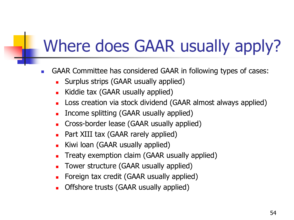### Where does GAAR usually apply?

- GAAR Committee has considered GAAR in following types of cases:
	- Surplus strips (GAAR usually applied)
	- **Kiddie tax (GAAR usually applied)**
	- **Loss creation via stock dividend (GAAR almost always applied)**
	- **I.** Income splitting (GAAR usually applied)
	- Cross-border lease (GAAR usually applied)
	- Part XIII tax (GAAR rarely applied)
	- Kiwi loan (GAAR usually applied)
	- Treaty exemption claim (GAAR usually applied)
	- **Tower structure (GAAR usually applied)**
	- Foreign tax credit (GAAR usually applied)
	- Offshore trusts (GAAR usually applied)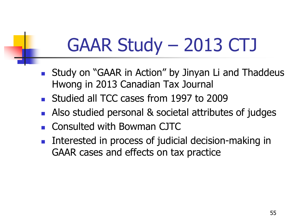# GAAR Study – 2013 CTJ

- **Study on "GAAR in Action" by Jinyan Li and Thaddeus** Hwong in 2013 Canadian Tax Journal
- **Studied all TCC cases from 1997 to 2009**
- Also studied personal & societal attributes of judges
- Consulted with Bowman CJTC
- Interested in process of judicial decision-making in GAAR cases and effects on tax practice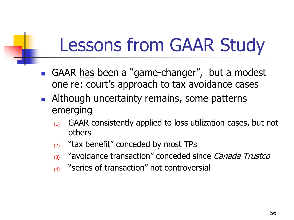# Lessons from GAAR Study

- GAAR has been a "game-changer", but a modest one re: court's approach to tax avoidance cases
- **Although uncertainty remains, some patterns** emerging
	- $(1)$  GAAR consistently applied to loss utilization cases, but not others
	- $(2)$  "tax benefit" conceded by most TPs
	- (3) "avoidance transaction" conceded since *Canada Trustco*
	- (4) "series of transaction" not controversial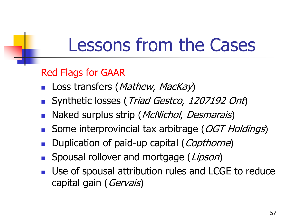### Red Flags for GAAR

- Loss transfers (Mathew, MacKay)
- Synthetic losses (Triad Gestco, 1207192 Ont)
- Naked surplus strip (*McNichol, Desmarais*)
- Some interprovincial tax arbitrage (OGT Holdings)
- Duplication of paid-up capital (Copthorne)
- Spousal rollover and mortgage (Lipson)
- Use of spousal attribution rules and LCGE to reduce capital gain (Gervais)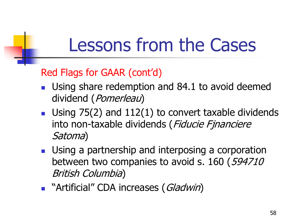### Red Flags for GAAR (cont'd)

- **Using share redemption and 84.1 to avoid deemed** dividend (Pomerleau)
- Using  $75(2)$  and  $112(1)$  to convert taxable dividends into non-taxable dividends (Fiducie Fjnanciere Satoma)
- **Using a partnership and interposing a corporation** between two companies to avoid s. 160 (594710) British Columbia)
- **Number 19 Artificial" CDA increases (Gladwin)**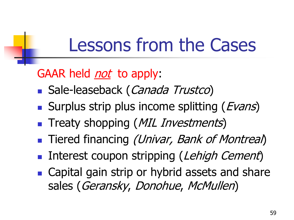### GAAR held *not* to apply:

- **Sale-leaseback (Canada Trustco)**
- Surplus strip plus income splitting (*Evans*)
- **Treaty shopping (MIL Investments)**
- **Tiered financing (Univar, Bank of Montreal)**
- Interest coupon stripping (Lehigh Cement)
- Capital gain strip or hybrid assets and share sales (Geransky, Donohue, McMullen)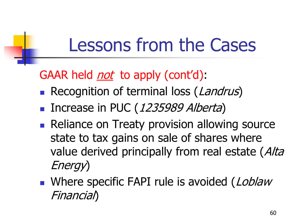GAAR held *not* to apply (cont'd):

- Recognition of terminal loss (Landrus)
- Increase in PUC (1235989 Alberta)
- Reliance on Treaty provision allowing source state to tax gains on sale of shares where value derived principally from real estate (Alta Energy)
- Where specific FAPI rule is avoided (Loblaw Financial)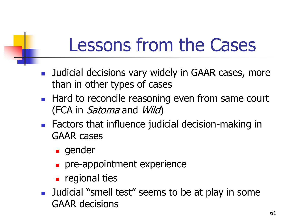- **Judicial decisions vary widely in GAAR cases, more** than in other types of cases
- **Hard to reconcile reasoning even from same court** (FCA in *Satoma* and *Wild*)
- **Factors that influence judicial decision-making in** GAAR cases
	- **gender**
	- **pre-appointment experience**
	- **regional ties**
- **Judicial "smell test" seems to be at play in some** GAAR decisions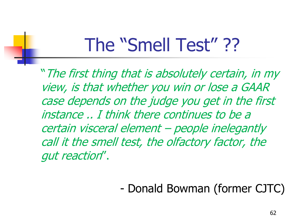# The "Smell Test" ??

"The first thing that is absolutely certain, in my view, is that whether you win or lose a GAAR case depends on the judge you get in the first instance .. I think there continues to be a certain visceral element – people inelegantly call it the smell test, the olfactory factor, the gut reaction".

### - Donald Bowman (former CJTC)